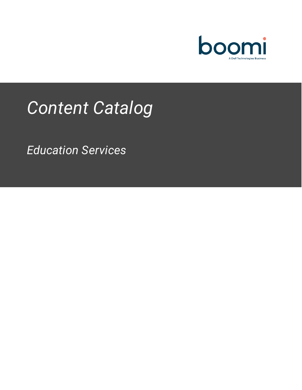

# *Content Catalog*

*Education Services*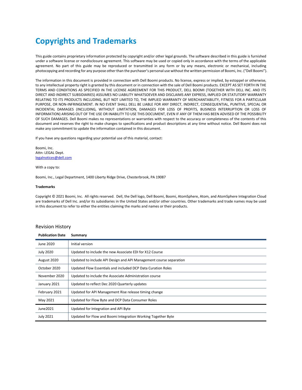### <span id="page-1-0"></span>**Copyrights and Trademarks**

This guide contains proprietary information protected by copyright and/or other legal grounds. The software described in this guide is furnished under a software license or nondisclosure agreement. This software may be used or copied only in accordance with the terms of the applicable agreement. No part of this guide may be reproduced or transmitted in any form or by any means, electronic or mechanical, including photocopying and recording for any purpose other than the purchaser's personal use without the written permission of Boomi, Inc. ("Dell Boomi").

The information in this document is provided in connection with Dell Boomi products. No license, express or implied, by estoppel or otherwise, to any intellectual property right is granted by this document or in connection with the sale of Dell Boomi products. EXCEPT AS SET FORTH IN THE TERMS AND CONDITIONS AS SPECIFIED IN THE LICENSE AGREEMENT FOR THIS PRODUCT, DELL BOOMI (TOGETHER WITH DELL INC. AND ITS DIRECT AND INDIRECT SUBSIDIARIES) ASSUMES NO LIABILITY WHATSOEVER AND DISCLAIMS ANY EXPRESS, IMPLIED OR STATUTORY WARRANTY RELATING TO ITS PRODUCTS INCLUDING, BUT NOT LIMITED TO, THE IMPLIED WARRANTY OF MERCHANTABILITY, FITNESS FOR A PARTICULAR PURPOSE, OR NON-INFRINGEMENT. IN NO EVENT SHALL DELL BE LIABLE FOR ANY DIRECT, INDIRECT, CONSEQUENTIAL, PUNITIVE, SPECIAL OR INCIDENTAL DAMAGES (INCLUDING, WITHOUT LIMITATION, DAMAGES FOR LOSS OF PROFITS, BUSINESS INTERRUPTION OR LOSS OF INFORMATION) ARISING OUT OF THE USE OR INABILITY TO USE THIS DOCUMENT, EVEN IF ANY OF THEM HAS BEEN ADVISED OF THE POSSIBILITY OF SUCH DAMAGES. Dell Boomi makes no representations or warranties with respect to the accuracy or completeness of the contents of this document and reserves the right to make changes to specifications and product descriptions at any time without notice. Dell Boomi does not make any commitment to update the information contained in this document.

If you have any questions regarding your potential use of this material, contact:

Boomi, Inc. Attn: LEGAL Dept. [legalnotices@dell.com](mailto:legalnotices@dell.com)

With a copy to:

Boomi, Inc., Legal Department, 1400 Liberty Ridge Drive, Chesterbrook, PA 19087

#### **Trademarks**

Copyright © 2021 Boomi, Inc. All rights reserved. Dell, the Dell logo, Dell Boomi, Boomi, AtomSphere, Atom, and AtomSphere Integration Cloud are trademarks of Dell Inc. and/or its subsidiaries in the United States and/or other countries. Other trademarks and trade names may be used in this document to refer to either the entities claiming the marks and names or their products.

#### Revision History

| <b>Publication Date</b> | Summary                                                            |
|-------------------------|--------------------------------------------------------------------|
| June 2020               | Initial version                                                    |
| <b>July 2020</b>        | Updated to include the new Associate EDI for X12 Course            |
| August 2020             | Updated to include API Design and API Management course separation |
| October 2020            | Updated Flow Essentials and included DCP Data Curation Roles       |
| November 2020           | Updated to include the Associate Administration course             |
| January 2021            | Updated to reflect Dec 2020 Quarterly updates                      |
| February 2021           | Updated for API Management Rise release timing change              |
| May 2021                | Updated for Flow Byte and DCP Data Consumer Roles                  |
| June2021                | Updated for Integration and API Byte                               |
| <b>July 2021</b>        | Updated for Flow and Boomi Integration Working Together Byte       |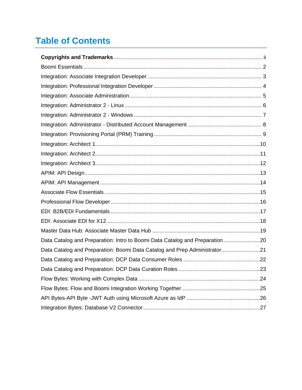## **Table of Contents**

| Data Catalog and Preparation: Intro to Boomi Data Catalog and Preparation20 |  |
|-----------------------------------------------------------------------------|--|
| Data Catalog and Preparation: Boomi Data Catalog and Prep Administrator21   |  |
|                                                                             |  |
|                                                                             |  |
|                                                                             |  |
|                                                                             |  |
|                                                                             |  |
|                                                                             |  |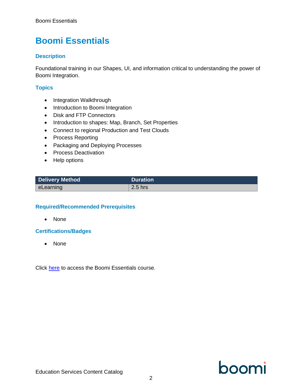### <span id="page-5-0"></span>**Boomi Essentials**

#### **Description**

Foundational training in our Shapes, UI, and information critical to understanding the power of Boomi Integration.

#### **Topics**

- Integration Walkthrough
- Introduction to Boomi Integration
- Disk and FTP Connectors
- Introduction to shapes: Map, Branch, Set Properties
- Connect to regional Production and Test Clouds
- Process Reporting
- Packaging and Deploying Processes
- Process Deactivation
- Help options

| <b>Delivery Method</b> | <b>Duration</b> |
|------------------------|-----------------|
| eLearning              | 2.5 hrs         |

#### **Required/Recommended Prerequisites**

• None

#### **Certifications/Badges**

• None

Click [here](https://train.boomi.com/#/online-courses/2304d0ac-b9fa-4c43-af4a-f2851285dfc2) to access the Boomi Essentials course.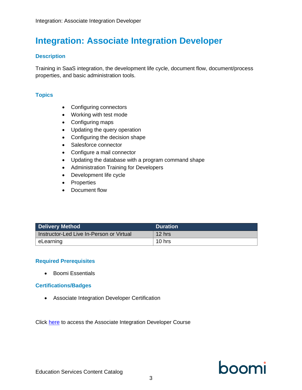### <span id="page-6-0"></span>**Integration: Associate Integration Developer**

#### **Description**

Training in SaaS integration, the development life cycle, document flow, document/process properties, and basic administration tools.

#### **Topics**

- Configuring connectors
- Working with test mode
- Configuring maps
- Updating the query operation
- Configuring the decision shape
- Salesforce connector
- Configure a mail connector
- Updating the database with a program command shape
- Administration Training for Developers
- Development life cycle
- Properties
- Document flow

| <b>Delivery Method</b>                   | <b>Duration</b> |
|------------------------------------------|-----------------|
| Instructor-Led Live In-Person or Virtual | $12$ hrs        |
| eLearning                                | 10 hrs          |

#### **Required Prerequisites**

• Boomi Essentials

#### **Certifications/Badges**

• Associate Integration Developer Certification

Click [here](https://train.boomi.com/#/online-courses/9fb18439-e317-456f-bcb7-7aff54676f4f) to access the Associate Integration Developer Course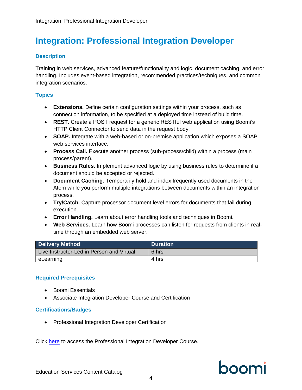### <span id="page-7-0"></span>**Integration: Professional Integration Developer**

#### **Description**

Training in web services, advanced feature/functionality and logic, document caching, and error handling. Includes event-based integration, recommended practices/techniques, and common integration scenarios.

#### **Topics**

- **Extensions.** Define certain configuration settings within your process, such as connection information, to be specified at a deployed time instead of build time.
- **REST.** Create a POST request for a generic RESTful web application using Boomi's HTTP Client Connector to send data in the request body.
- **SOAP.** Integrate with a web-based or on-premise application which exposes a SOAP web services interface.
- **Process Call.** Execute another process (sub-process/child) within a process (main process/parent).
- **Business Rules.** Implement advanced logic by using business rules to determine if a document should be accepted or rejected.
- **Document Caching.** Temporarily hold and index frequently used documents in the Atom while you perform multiple integrations between documents within an integration process.
- **Try/Catch.** Capture processor document level errors for documents that fail during execution.
- **Error Handling.** Learn about error handling tools and techniques in Boomi.
- **Web Services.** Learn how Boomi processes can listen for requests from clients in realtime through an embedded web server.

| <b>Delivery Method</b>                    | <b>Duration</b> |
|-------------------------------------------|-----------------|
| Live Instructor-Led in Person and Virtual | 6 hrs           |
| l eLearning                               | 4 hrs           |

#### **Required Prerequisites**

- Boomi Essentials
- Associate Integration Developer Course and Certification

#### **Certifications/Badges**

• Professional Integration Developer Certification

Click [here](https://train.boomi.com/#/online-courses/3862ed9f-9d3a-49a6-8d1b-38cf484373c2) to access the Professional Integration Developer Course.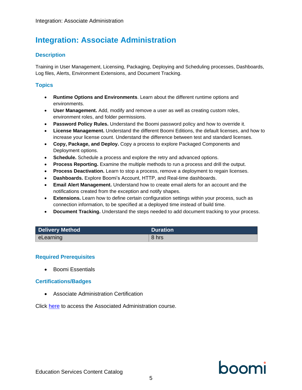### <span id="page-8-0"></span>**Integration: Associate Administration**

#### **Description**

Training in User Management, Licensing, Packaging, Deploying and Scheduling processes, Dashboards, Log files, Alerts, Environment Extensions, and Document Tracking.

#### **Topics**

- **Runtime Options and Environments**. Learn about the different runtime options and environments.
- **User Management.** Add, modify and remove a user as well as creating custom roles, environment roles, and folder permissions.
- **Password Policy Rules.** Understand the Boomi password policy and how to override it.
- **License Management.** Understand the different Boomi Editions, the default licenses, and how to increase your license count. Understand the difference between test and standard licenses.
- **Copy, Package, and Deploy.** Copy a process to explore Packaged Components and Deployment options.
- **Schedule.** Schedule a process and explore the retry and advanced options.
- **Process Reporting.** Examine the multiple methods to run a process and drill the output.
- **Process Deactivation.** Learn to stop a process, remove a deployment to regain licenses.
- **Dashboards.** Explore Boomi's Account, HTTP, and Real-time dashboards.
- **Email Alert Management.** Understand how to create email alerts for an account and the notifications created from the exception and notify shapes.
- **Extensions.** Learn how to define certain configuration settings within your process, such as connection information, to be specified at a deployed time instead of build time.
- **Document Tracking.** Understand the steps needed to add document tracking to your process.

| Delivery Method | <b>Duration</b> |
|-----------------|-----------------|
| eLearning       | 8 hrs           |

#### **Required Prerequisites**

• Boomi Essentials

#### **Certifications/Badges**

• Associate Administration Certification

Click [here](https://train.boomi.com/#/online-courses/8ce26244-60a8-492a-a2ab-ad6e63995e0b) to access the Associated Administration course.

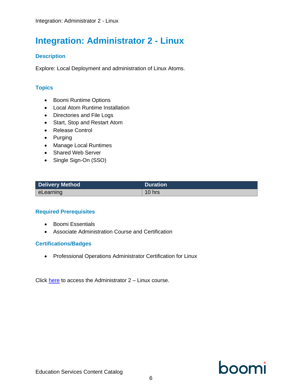### <span id="page-9-0"></span>**Integration: Administrator 2 - Linux**

### **Description**

Explore: Local Deployment and administration of Linux Atoms.

#### **Topics**

- Boomi Runtime Options
- Local Atom Runtime Installation
- Directories and File Logs
- Start, Stop and Restart Atom
- Release Control
- Purging
- Manage Local Runtimes
- Shared Web Server
- Single Sign-On (SSO)

| <b>Delivery Method</b> | <b>Duration</b> |
|------------------------|-----------------|
| eLearning              | $10$ hrs        |

#### **Required Prerequisites**

- Boomi Essentials
- Associate Administration Course and Certification

#### **Certifications/Badges**

• Professional Operations Administrator Certification for Linux

Click [here](https://train.boomi.com/#/online-courses/63df15d1-1629-411e-a14f-cbb53668c86d) to access the Administrator 2 – Linux course.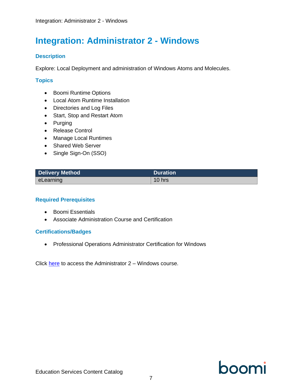### <span id="page-10-0"></span>**Integration: Administrator 2 - Windows**

#### **Description**

Explore: Local Deployment and administration of Windows Atoms and Molecules.

#### **Topics**

- Boomi Runtime Options
- Local Atom Runtime Installation
- Directories and Log Files
- Start, Stop and Restart Atom
- Purging
- Release Control
- Manage Local Runtimes
- Shared Web Server
- Single Sign-On (SSO)

| <b>Delivery Method</b> | <b>Duration</b> |
|------------------------|-----------------|
| ∣ eLearning            | $10$ hrs        |

#### **Required Prerequisites**

- Boomi Essentials
- Associate Administration Course and Certification

#### **Certifications/Badges**

• Professional Operations Administrator Certification for Windows

Click [here](https://train.boomi.com/#/online-courses/50e52e0f-27ce-440e-a4b8-0b849a8f2322) to access the Administrator  $2 -$  Windows course.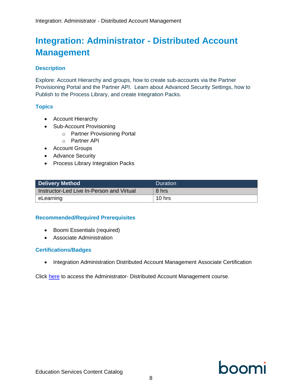### <span id="page-11-0"></span>**Integration: Administrator - Distributed Account Management**

#### **Description**

Explore: Account Hierarchy and groups, how to create sub-accounts via the Partner Provisioning Portal and the Partner API. Learn about Advanced Security Settings, how to Publish to the Process Library, and create Integration Packs.

### **Topics**

- Account Hierarchy
- Sub-Account Provisioning
	- o Partner Provisioning Portal
	- o Partner API
- Account Groups
- Advance Security
- Process Library Integration Packs

| <b>Delivery Method</b>                    | Duration |
|-------------------------------------------|----------|
| Instructor-Led Live In-Person and Virtual | 8 hrs    |
| eLearning                                 | 10 hrs   |

#### **Recommended/Required Prerequisites**

- Boomi Essentials (required)
- Associate Administration

#### **Certifications/Badges**

• Integration Administration Distributed Account Management Associate Certification

Click [here](https://train.boomi.com/#/online-courses/3e8b1708-ec96-4fff-b663-a1734443894e) to access the Administrator- Distributed Account Management course.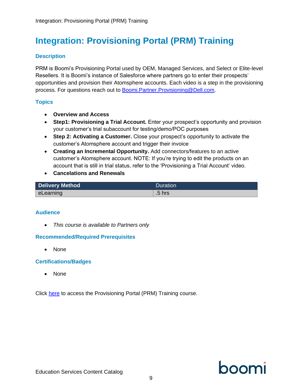### <span id="page-12-0"></span>**Integration: Provisioning Portal (PRM) Training**

#### **Description**

PRM is Boomi's Provisioning Portal used by OEM, Managed Services, and Select or Elite-level Resellers. It is Boomi's instance of Salesforce where partners go to enter their prospects' opportunities and provision their Atomsphere accounts. Each video is a step in the provisioning process. For questions reach out to [Boomi.Partner.Provisioning@Dell.com.](mailto:Boomi.Partner.Provisioning@Dell.com)

#### **Topics**

- **Overview and Access**
- **Step1: Provisioning a Trial Account.** Enter your prospect's opportunity and provision your customer's trial subaccount for testing/demo/POC purposes
- **Step 2: Activating a Customer.** Close your prospect's opportunity to activate the customer's Atomsphere account and trigger their invoice
- **Creating an Incremental Opportunity.** Add connectors/features to an active customer's Atomsphere account. NOTE: If you're trying to edit the products on an account that is still in trial status, refer to the 'Provisioning a Trial Account' video.
- **Cancelations and Renewals**

| Delivery Method | Duration          |
|-----------------|-------------------|
| ∖ eLearning l   | .5 <sub>hrs</sub> |

#### **Audience**

• *This course is available to Partners only*

#### **Recommended/Required Prerequisites**

• None

#### **Certifications/Badges**

• None

Click [here](https://train.boomi.com/#/online-courses/fdbf67d9-1e8c-4ff7-b36e-f25afd47c869) to access the Provisioning Portal (PRM) Training course.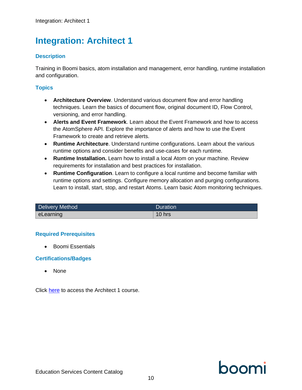### <span id="page-13-0"></span>**Integration: Architect 1**

### **Description**

Training in Boomi basics, atom installation and management, error handling, runtime installation and configuration.

### **Topics**

- **Architecture Overview**. Understand various document flow and error handling techniques. Learn the basics of document flow, original document ID, Flow Control, versioning, and error handling.
- **Alerts and Event Framework**. Learn about the Event Framework and how to access the AtomSphere API. Explore the importance of alerts and how to use the Event Framework to create and retrieve alerts.
- **Runtime Architecture**. Understand runtime configurations. Learn about the various runtime options and consider benefits and use-cases for each runtime.
- **Runtime Installation.** Learn how to install a local Atom on your machine. Review requirements for installation and best practices for installation.
- **Runtime Configuration**. Learn to configure a local runtime and become familiar with runtime options and settings. Configure memory allocation and purging configurations. Learn to install, start, stop, and restart Atoms. Learn basic Atom monitoring techniques.

| Delivery Method | Duration |
|-----------------|----------|
| eLearning       | 10 hrs   |

#### **Required Prerequisites**

• Boomi Essentials

#### **Certifications/Badges**

• None

Click [here](https://train.boomi.com/#/online-courses/225610af-536f-4239-8501-acb3cce1b943) to access the Architect 1 course.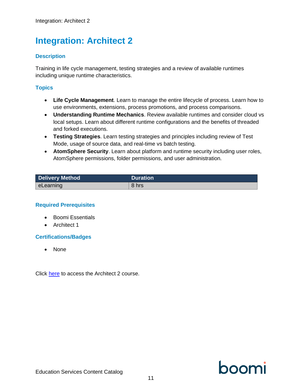### <span id="page-14-0"></span>**Integration: Architect 2**

#### **Description**

Training in life cycle management, testing strategies and a review of available runtimes including unique runtime characteristics.

#### **Topics**

- **Life Cycle Management**. Learn to manage the entire lifecycle of process. Learn how to use environments, extensions, process promotions, and process comparisons.
- **Understanding Runtime Mechanics**. Review available runtimes and consider cloud vs local setups. Learn about different runtime configurations and the benefits of threaded and forked executions.
- **Testing Strategies**. Learn testing strategies and principles including review of Test Mode, usage of source data, and real-time vs batch testing.
- **AtomSphere Security**. Learn about platform and runtime security including user roles, AtomSphere permissions, folder permissions, and user administration.

| <b>Delivery Method</b> | <b>Duration</b> |
|------------------------|-----------------|
| eLearning              | 8 hrs           |

#### **Required Prerequisites**

- Boomi Essentials
- Architect 1

#### **Certifications/Badges**

• None

Click [here](https://train.boomi.com/#/online-courses/71073fbe-7aba-4b62-b7fe-072b18f8183e) to access the Architect 2 course.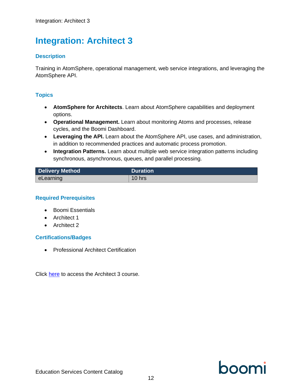### <span id="page-15-0"></span>**Integration: Architect 3**

#### **Description**

Training in AtomSphere, operational management, web service integrations, and leveraging the AtomSphere API.

#### **Topics**

- **AtomSphere for Architects**. Learn about AtomSphere capabilities and deployment options.
- **Operational Management.** Learn about monitoring Atoms and processes, release cycles, and the Boomi Dashboard.
- **Leveraging the API.** Learn about the AtomSphere API, use cases, and administration, in addition to recommended practices and automatic process promotion.
- **Integration Patterns.** Learn about multiple web service integration patterns including synchronous, asynchronous, queues, and parallel processing.

| <b>Delivery Method</b> | <b>Duration</b> |
|------------------------|-----------------|
| eLearning              | $10$ hrs        |

#### **Required Prerequisites**

- Boomi Essentials
- Architect 1
- Architect 2

#### **Certifications/Badges**

• Professional Architect Certification

Click [here](https://train.boomi.com/#/online-courses/0757c1ec-dceb-4e62-abc8-7a8625c06e58) to access the Architect 3 course.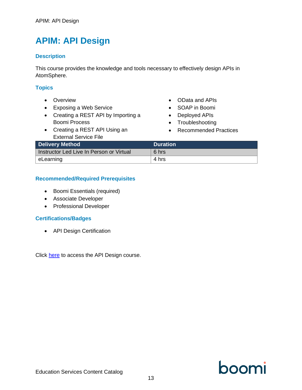### <span id="page-16-0"></span>**APIM: API Design**

#### **Description**

This course provides the knowledge and tools necessary to effectively design APIs in AtomSphere.

#### **Topics**

- Overview
- Exposing a Web Service
- Creating a REST API by Importing a Boomi Process
- Creating a REST API Using an External Service File
- OData and APIs
- SOAP in Boomi
- Deployed APIs
- Troubleshooting
- Recommended Practices

| <b>Delivery Method</b>                   | <b>Duration</b> |
|------------------------------------------|-----------------|
| Instructor Led Live In Person or Virtual | 6 hrs           |
| eLearning                                | 4 hrs           |

#### **Recommended/Required Prerequisites**

- Boomi Essentials (required)
- Associate Developer
- Professional Developer

#### **Certifications/Badges**

• API Design Certification

Click [here](https://train.boomi.com/courses/4edf409a-bbe7-4853-a3c2-18b0c52c8662) to access the API Design course.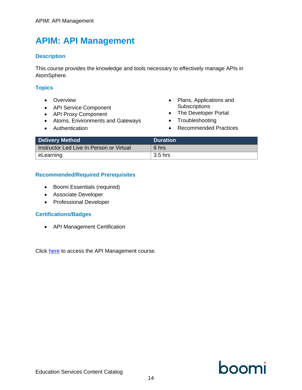### <span id="page-17-0"></span>**APIM: API Management**

#### **Description**

This course provides the knowledge and tools necessary to effectively manage APIs in AtomSphere.

#### **Topics**

- Overview
- API Service Component
- API Proxy Component
- Atoms, Environments and Gateways
- Authentication
- Plans, Applications and **Subscriptions**
- The Developer Portal
- Troubleshooting
- Recommended Practices

| <b>Delivery Method</b>                   | <b>Duration</b> |
|------------------------------------------|-----------------|
| Instructor Led Live In Person or Virtual | 6 hrs           |
| eLearning                                | 3.5 hrs         |

#### **Recommended/Required Prerequisites**

- Boomi Essentials (required)
- Associate Developer
- Professional Developer

#### **Certifications/Badges**

• API Management Certification

Click [here](https://train.boomi.com/courses/0dd15c02-de17-4f59-ae68-3487b30023b0) to access the API Management course.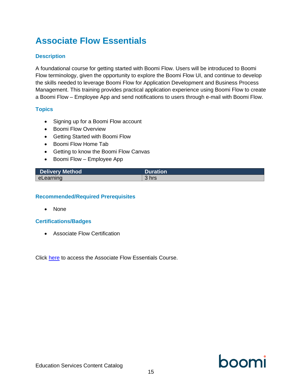### <span id="page-18-0"></span>**Associate Flow Essentials**

### **Description**

A foundational course for getting started with Boomi Flow. Users will be introduced to Boomi Flow terminology, given the opportunity to explore the Boomi Flow UI, and continue to develop the skills needed to leverage Boomi Flow for Application Development and Business Process Management. This training provides practical application experience using Boomi Flow to create a Boomi Flow – Employee App and send notifications to users through e-mail with Boomi Flow.

#### **Topics**

- Signing up for a Boomi Flow account
- Boomi Flow Overview
- Getting Started with Boomi Flow
- Boomi Flow Home Tab
- Getting to know the Boomi Flow Canvas
- Boomi Flow Employee App

| <b>Delivery Method</b> | Duration |
|------------------------|----------|
| eLearning              | 3 hrs    |

#### **Recommended/Required Prerequisites**

• None

#### **Certifications/Badges**

• Associate Flow Certification

Click [here](https://train.boomi.com/#/online-courses/bfc78153-0bd8-45ae-a415-c52d4c0dc1ac) to access the Associate Flow Essentials Course.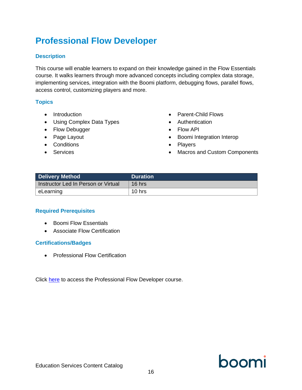### <span id="page-19-0"></span>**Professional Flow Developer**

#### **Description**

This course will enable learners to expand on their knowledge gained in the Flow Essentials course. It walks learners through more advanced concepts including complex data storage, implementing services, integration with the Boomi platform, debugging flows, parallel flows, access control, customizing players and more.

### **Topics**

- Introduction
- Using Complex Data Types
- Flow Debugger
- Page Layout
- Conditions
- Services
- Parent-Child Flows
- Authentication
- Flow API
- Boomi Integration Interop
- Players
- Macros and Custom Components

| <b>Delivery Method</b>              | <b>Duration</b> |
|-------------------------------------|-----------------|
| Instructor Led In Person or Virtual | $16$ hrs        |
| eLearning                           | 10 $hrs$        |

#### **Required Prerequisites**

- Boomi Flow Essentials
- Associate Flow Certification

#### **Certifications/Badges**

• Professional Flow Certification

Click [here](https://train.boomi.com/#/online-courses/694ad5d3-684c-4847-9cfd-6fb648d40578) to access the Professional Flow Developer course.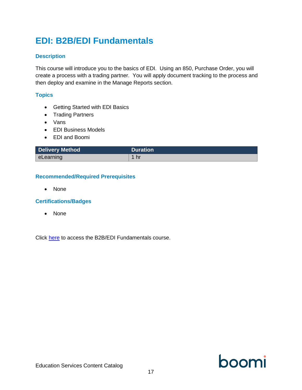## <span id="page-20-0"></span>**EDI: B2B/EDI Fundamentals**

#### **Description**

This course will introduce you to the basics of EDI. Using an 850, Purchase Order, you will create a process with a trading partner. You will apply document tracking to the process and then deploy and examine in the Manage Reports section.

#### **Topics**

- Getting Started with EDI Basics
- Trading Partners
- Vans
- EDI Business Models
- EDI and Boomi

| <b>Delivery Method</b> | <b>Duration</b> |
|------------------------|-----------------|
| eLearning              | / hr            |

#### **Recommended/Required Prerequisites**

• None

#### **Certifications/Badges**

• None

Click [here](https://train.boomi.com/#/online-courses/7f134e2e-d60c-45d1-9edf-51ce866ee162) to access the B2B/EDI Fundamentals course.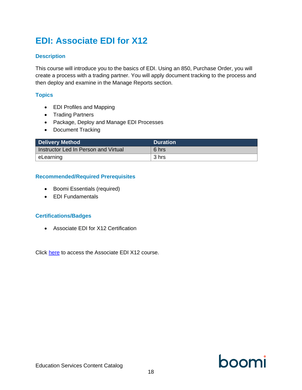## <span id="page-21-0"></span>**EDI: Associate EDI for X12**

#### **Description**

This course will introduce you to the basics of EDI. Using an 850, Purchase Order, you will create a process with a trading partner. You will apply document tracking to the process and then deploy and examine in the Manage Reports section.

#### **Topics**

- EDI Profiles and Mapping
- Trading Partners
- Package, Deploy and Manage EDI Processes
- Document Tracking

| <b>Delivery Method</b>               | <b>Duration</b> |
|--------------------------------------|-----------------|
| Instructor Led In Person and Virtual | 6 hrs           |
| eLearning                            | 3 hrs           |

#### **Recommended/Required Prerequisites**

- Boomi Essentials (required)
- EDI Fundamentals

#### **Certifications/Badges**

• Associate EDI for X12 Certification

Click [here](https://train.boomi.com/#/online-courses/22ada570-8cae-4427-9048-328dad7a839c) to access the Associate EDI X12 course.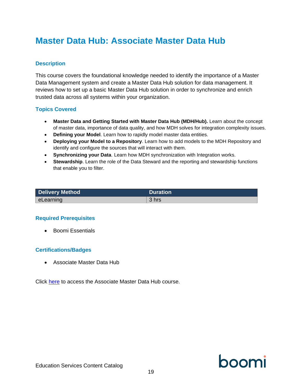### <span id="page-22-0"></span>**Master Data Hub: Associate Master Data Hub**

#### **Description**

This course covers the foundational knowledge needed to identify the importance of a Master Data Management system and create a Master Data Hub solution for data management. It reviews how to set up a basic Master Data Hub solution in order to synchronize and enrich trusted data across all systems within your organization.

#### **Topics Covered**

- **Master Data and Getting Started with Master Data Hub (MDH/Hub).** Learn about the concept of master data, importance of data quality, and how MDH solves for integration complexity issues.
- **Defining your Model**. Learn how to rapidly model master data entities.
- **Deploying your Model to a Repository**. Learn how to add models to the MDH Repository and identify and configure the sources that will interact with them.
- **Synchronizing your Data**. Learn how MDH synchronization with Integration works.
- **Stewardship**. Learn the role of the Data Steward and the reporting and stewardship functions that enable you to filter.

| <b>Delivery Method</b> | <b>Duration</b> |
|------------------------|-----------------|
| eLearning              | 3 hrs           |

#### **Required Prerequisites**

• Boomi Essentials

#### **Certifications/Badges**

• Associate Master Data Hub

Click [here](https://train.boomi.com/#/online-courses/0b70621e-7d5e-40df-ba58-bff8ca939478) to access the Associate Master Data Hub course.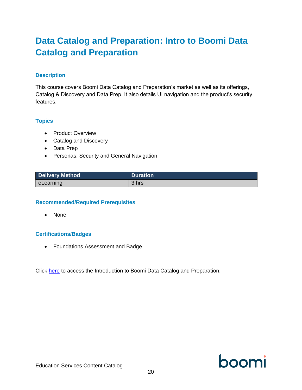### <span id="page-23-0"></span>**Data Catalog and Preparation: Intro to Boomi Data Catalog and Preparation**

#### **Description**

This course covers Boomi Data Catalog and Preparation's market as well as its offerings, Catalog & Discovery and Data Prep. It also details UI navigation and the product's security features.

#### **Topics**

- Product Overview
- Catalog and Discovery
- Data Prep
- Personas, Security and General Navigation

| <b>Delivery Method</b> | <b>Duration</b> |
|------------------------|-----------------|
| $\mid$ eLearning       | 3 hrs           |

#### **Recommended/Required Prerequisites**

• None

#### **Certifications/Badges**

• Foundations Assessment and Badge

Click [here](https://train.boomi.com/#/online-courses/081d032b-9b46-43fa-adf7-fdbfa500f6ff) to access the Introduction to Boomi Data Catalog and Preparation.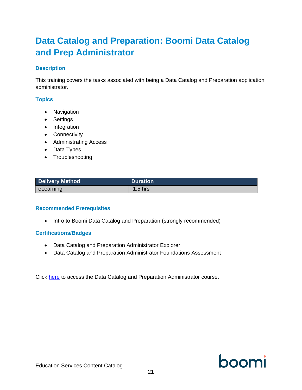### <span id="page-24-0"></span>**Data Catalog and Preparation: Boomi Data Catalog and Prep Administrator**

#### **Description**

This training covers the tasks associated with being a Data Catalog and Preparation application administrator.

### **Topics**

- Navigation
- Settings
- Integration
- Connectivity
- Administrating Access
- Data Types
- Troubleshooting

| <b>Delivery Method</b> | <b>Duration</b> |
|------------------------|-----------------|
| eLearning              | $1.5$ hrs       |

#### **Recommended Prerequisites**

• Intro to Boomi Data Catalog and Preparation (strongly recommended)

#### **Certifications/Badges**

- Data Catalog and Preparation Administrator Explorer
- Data Catalog and Preparation Administrator Foundations Assessment

Click [here](https://train.boomi.com/#/online-courses/0cf9943d-cc22-41f1-b571-0fe60c16e288) to access the Data Catalog and Preparation Administrator course.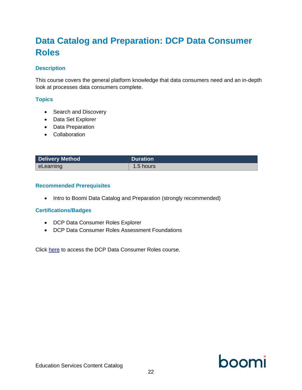### <span id="page-25-0"></span>**Data Catalog and Preparation: DCP Data Consumer Roles**

#### **Description**

This course covers the general platform knowledge that data consumers need and an in-depth look at processes data consumers complete.

#### **Topics**

- Search and Discovery
- Data Set Explorer
- Data Preparation
- Collaboration

| <b>Delivery Method</b> | <b>Duration</b> |
|------------------------|-----------------|
| eLearning              | 1.5 hours       |

#### **Recommended Prerequisites**

• Intro to Boomi Data Catalog and Preparation (strongly recommended)

#### **Certifications/Badges**

- DCP Data Consumer Roles Explorer
- DCP Data Consumer Roles Assessment Foundations

Click [here](https://train.boomi.com/courses/a305803e-b21c-48f1-8685-1d5d86250f8c) to access the DCP Data Consumer Roles course.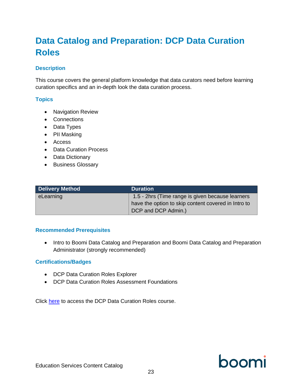### <span id="page-26-0"></span>**Data Catalog and Preparation: DCP Data Curation Roles**

#### **Description**

This course covers the general platform knowledge that data curators need before learning curation specifics and an in-depth look the data curation process.

#### **Topics**

- Navigation Review
- Connections
- Data Types
- PII Masking
- Access
- Data Curation Process
- Data Dictionary
- Business Glossary

| <b>Delivery Method</b> | <b>Duration</b>                                     |
|------------------------|-----------------------------------------------------|
| eLearning              | 1.5 - 2hrs (Time range is given because learners    |
|                        | have the option to skip content covered in Intro to |
|                        | DCP and DCP Admin.)                                 |

#### **Recommended Prerequisites**

• Intro to Boomi Data Catalog and Preparation and Boomi Data Catalog and Preparation Administrator (strongly recommended)

#### **Certifications/Badges**

- DCP Data Curation Roles Explorer
- DCP Data Curation Roles Assessment Foundations

Click [here](https://train.boomi.com/courses/1db9f2e7-238d-4ea5-b4c4-a8bd6ddf1f35) to access the DCP Data Curation Roles course.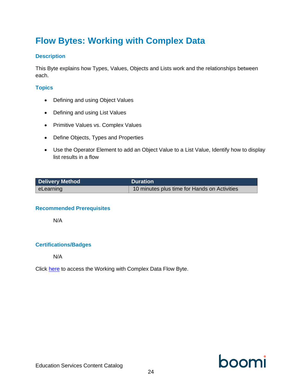### <span id="page-27-0"></span>**Flow Bytes: Working with Complex Data**

#### **Description**

This Byte explains how Types, Values, Objects and Lists work and the relationships between each.

### **Topics**

- Defining and using Object Values
- Defining and using List Values
- Primitive Values vs. Complex Values
- Define Objects, Types and Properties
- Use the Operator Element to add an Object Value to a List Value, Identify how to display list results in a flow

| <b>Delivery Method</b> | <b>Duration</b>                              |
|------------------------|----------------------------------------------|
| eLearning              | 10 minutes plus time for Hands on Activities |

#### **Recommended Prerequisites**

N/A

#### **Certifications/Badges**

N/A

Click [here](https://train.boomi.com/courses/ef7b928e-01de-4c66-b8bc-be52ac8e78c8) to access the Working with Complex Data Flow Byte.

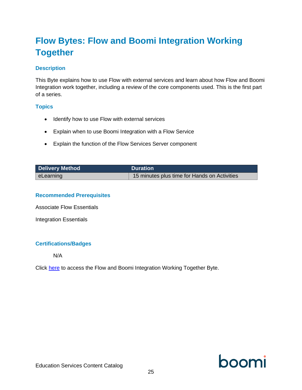### <span id="page-28-0"></span>**Flow Bytes: Flow and Boomi Integration Working Together**

#### **Description**

This Byte explains how to use Flow with external services and learn about how Flow and Boomi Integration work together, including a review of the core components used. This is the first part of a series.

#### **Topics**

- Identify how to use Flow with external services
- Explain when to use Boomi Integration with a Flow Service
- Explain the function of the Flow Services Server component

| <b>Delivery Method</b> | <b>Duration</b>                              |
|------------------------|----------------------------------------------|
| eLearning              | 15 minutes plus time for Hands on Activities |

#### **Recommended Prerequisites**

Associate Flow Essentials

Integration Essentials

#### **Certifications/Badges**

N/A

Click [here](https://train.boomi.com/courses/ef7b928e-01de-4c66-b8bc-be52ac8e78c8) to access the Flow and Boomi Integration Working Together Byte.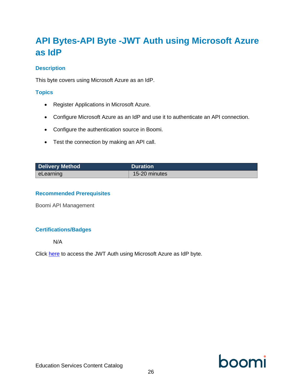### <span id="page-29-0"></span>**API Bytes-API Byte -JWT Auth using Microsoft Azure as IdP**

#### **Description**

This byte covers using Microsoft Azure as an IdP.

#### **Topics**

- Register Applications in Microsoft Azure.
- Configure Microsoft Azure as an IdP and use it to authenticate an API connection.
- Configure the authentication source in Boomi.
- Test the connection by making an API call.

| <b>Delivery Method</b> | <b>Duration</b> |
|------------------------|-----------------|
| eLearning              | 15-20 minutes   |

#### **Recommended Prerequisites**

Boomi API Management

#### **Certifications/Badges**

N/A

Click [here](https://train.boomi.com/courses/129a6d20-fd38-4b49-acf7-003551dda9d3) to access the JWT Auth using Microsoft Azure as IdP byte.